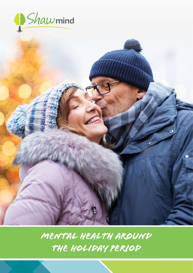

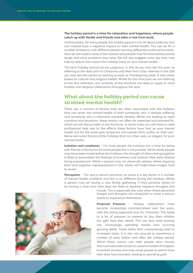#### **The holiday period is a time for relaxation and happiness, where people catch up with family and friends and take a rest from work.**

Unfortunately, for many people the holiday period is not all about positivity and can instead have a negative impact on their mental health. This can be for a number of reasons, with different people reacting differently to the same events. Here we will outline some of the reasons why people may find the holiday period tough and what problems may arise. We will also suggest some tips that may help to reduce the impact the holidays have on your mental health.

The term holiday period can be subjective. In the UK you may see this term as referring to the days prior to Christmas until New Year's Day, whereas in the USA you may see this period as starting as early as Thanksgiving week. It also varies based on cultural and religious beliefs. Whilst for the most part we are referring to the first definition, the contents of this brochure are likely to apply to most holiday and religious celebrations throughout the year.

### **What about the holiday period can cause strained mental health?**

There are a number of factors that are often associated with the holidays that can strain the mental health of both somebody who is already suffering and somebody who is otherwise mentally healthy. Whilst not leading to ideal scenarios and situations, these strains can often be expected and planned for, which we will discuss later in this brochure. In some cases you will need to seek professional help due to the effects these factors have had on your mental health but for the most part symptoms will subside fairly swiftly on their own. Below are some factors of the holidays that are often seen as triggers for poor mental health.

**Isolation and Loneliness** – For most people the holidays are a time for being with friends or family but for some people this is not possible. Whilst these people may have been lonely before the holidays, the thought of others being together is likely to exacerbate the feelings of loneliness and isolation that were already being experienced. Whilst a person may not physically witness others enjoying their time together, representations in the media will make these images hard to avoid.

**Perception** - The way a person perceives an event is a key factor in a number of mental health problems and this is no different during the holidays. Whilst a person may be having a nice family gathering, if they perceive others to be having a nicer time then they are likely to develop negative thoughts and



moods. This is especially the case when these perceived images and thoughts are compared to what a person wants to experience themselves.

**Financial Pressure** – Holiday celebrations have become increasingly commercialised over the years, with this being especially true for Christmas. This leads to a lot of pressure on parents to buy their children the gifts that they desire. This can then lead parents into increasingly spending money and accruing growing debts. These debts then unsurprisingly lead to increased stress. It is also not unusual to experience a number of sales before and after the holiday period. Whilst these events can help people save money, they have also been shown to cause a number of shoppers increased anxiety and may cause people to spend more than they had intended, leading to spending guilt.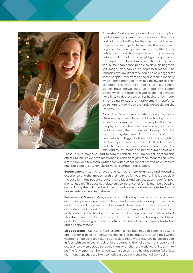

**Excessive food consumption** – Food consumption has become synonymous with holidays in the many parts of the globe. People often see the holidays as a time to over indulge. Unfortunately, this can have a negative effect on a person's mental health. Clearly, eating more food than required or than you usually eat can put you at risk of weight gain, especially if this happens multiple times over the holidays, and this in itself can cause people to develop negative self-images and can cause depressed moods. The rampant availability of food can also be a trigger for those people suffer from eating disorders, especially when family members may not be aware of their condition. This may also lead to conflict. Finally, studies have shown that junk food and sugary treats, which are often enjoyed at the holidays, do have links to depression. Whilst having a few treats is not going to cause any problems it is useful to be mindful of too much over indulgence during the holidays.

**Alcohol** – As with many celebrations, alcohol is often readily available around the holidays and is excessively consumed by many people. Along with the physical conditions this can lead to, both short and long term, the rampant availability of alcohol can have negative impacts on mental health. Not only is alcohol a trigger for those that may be fighting alcohol dependency, but it is in itself a depressant and therefore excessive consumption of alcohol can lead to low mood and behavioural alterations.

These in turn may also lead to family conflicts and unpleasant physical side effects. Much like we have mentioned in relation to junk food, moderation is key. A few drinks or a few social gatherings with alcohol are not likely to be a problem but issues can arise when excessive consumption takes place.

**Bereavement** – Losing a loved one can be a very traumatic and upsetting experience and the impacts of this loss can be felt year round. This is especially the case for many people around the holidays and can act as a trigger for poor mental health. This does not relate only to instances of family members passing away during the holidays but instead the holidays can exacerbate feelings of loss experienced earlier in the year.

**Pressure and Stress** – Many aspects of the holidays can increase the pressure or stress a person experiences. There can be events to arrange, travel to be undertaken and large meals to be cooked. These can all cause stress, which is extra stress that is added to the stress a person may already be experiencing in their lives, as the holidays do not mean other issues are suddenly resolved. This stress can often be made worse by a belief that the holidays need to be perfect as achieving perfection is often out of reach and so causes frustration and disappointment.

**Sleep patterns** – More and more research is showing that good sleeping patterns are vital for a person's mental wellbeing. The holidays are often times where vacations from work are taken but this does not always result in increased sleep. In fact, with social events being focused around the holidays, many people will experience a worse sleep schedule than when they are working. Whilst this may be fine for a small number of events, if a person has a holiday season full of late night functions they are likely to notice a decline in their mental well-being.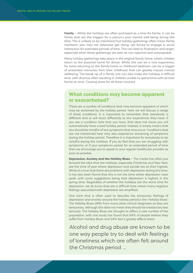**Family** – Whilst the holidays are often portrayed as a time for family, it can be family that are the triggers for a person's poor mental well-being during this time. This is unlikely to be intentional but holiday gatherings often mean family members, who may not otherwise get along, are forced to engage in social interaction for extended periods of time. This can lead to frustration and anger; especially when these gatherings are seen as non-optional and unescapable.

Many holiday gatherings take place in the original family home, where children return to the parental home for dinner. Whilst this can be a nice experience, for some returning to the family home or childhood bedroom can be a trigger of unwanted memories from their childhood that can greatly impact mental wellbeing. The break-up of a family unit can also make the holidays a difficult time, with divorces often resulting in children unable to spend time with all their family at once. Causing stress for all those involved.

## **What conditions may become apparent or exacerbated?**

There are a number of conditions that may become apparent or which may be worsened by the holiday period. Here we will discuss a range of these conditions. It is important to remember that everybody is different and so will react differently to the experiences they have. If you see a condition here that you have, that does not mean you will automatically have a bad holiday period. Instead, it simply means that you should be mindful of any symptoms that may occur. Conditions that are not mentioned here may also experience worsening of symptoms during the holiday period. Therefore it is important for everybody to be mindful during the holidays. If you do feel that you are struggling with symptoms, or if your symptoms persist for an extended period of time then we encourage you to speak to your regular healthcare provider as soon as possible.

**Depression, Anxiety and the Holiday Blues** – The media has often put forward the idea that the holidays, especially Christmas and New Year, are the time of year where depression and suicide are at their highest. Whilst it is true that there are problems with depression during this time, it has also been found that this is not the time where depression rates peak, with some suggestions being that depression is highest in the spring time. Regardless of whether the holidays are the worst time for depression, we do know they are a difficult time where many negative feelings associated with depression are amplified.

One term that is often used to describe the temporary feelings of depression and anxiety around the holiday period is the 'Holiday blues'. The Holiday Blues differ from many other clinical diagnoses as they are temporary, although this does not mean they should be treated any less seriously. The Holiday Blues are thought to affect a vast number of the population, with one study has found that 64% of people believe they suffer from Holiday Blues and 24% feel it greatly affects them.

Alcohol and drug abuse are known to be one way people try to deal with feelings of loneliness which are often felt around the Christmas period ...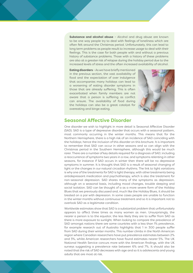**Substance and alcohol abuse** – Alcohol and drug abuse are known to be one way people try to deal with feelings of loneliness which are often felt around the Christmas period. Unfortunately, this can lead to long term problems as people result to increase usage to deal with their feelings. This is the case for both people with and without a previous history of substance problems. Those with a history of these problems are also at a greater risk of relapse during the holiday period due to the increased levels of stress and the often increased availability of alcohol.

**Eating disorders** – As we have briefly mentioned in the previous section, the vast availability of food and the expectation of over indulgence that accompanies many holidays can lead to a worsening of eating disorder symptoms in those that are already suffering. This is often exacerbated when family members are not aware that a person is suffering as conflict can ensure. The availability of food during the holidays can also be a great catalyst for overeating and binge eating.



#### **Seasonal Affective Disorder**

One disorder we wish to highlight in more detail is Seasonal Affective Disorder (SAD). SAD is a type of depressive disorder that occurs with a seasonal pattern, most commonly occurring in the winter months. This means that for the Northern Hemisphere, there is a high risk of an incidence of SAD coinciding with the holidays; hence the inclusion of this disorder on this brochure. It is important to remember that SAD can occur in other seasons and so can align with the Christmas period in the Southern Hemisphere, although this would be much rarer. There are a number of key details required for a diagnosis of SAD; including a reoccurrence of symptoms two years in a row, and symptoms relenting in other seasons, for instance if SAD occurs in winter then there will be no depressive symptoms in summer. It is thought that SAD is a result of seasonal changing of light or the changes in our natural circadian rhythms. The link to light variations is why one of the treatments for SAD is light therapy, with other treatments being antidepressant medication and psychotherapy, which is also the treatment for non-seasonal depression. SAD shares many of the symptoms as depression, although on a seasonal basis, including mood changes, trouble sleeping and social isolation. SAD can be thought of a as a more severe form of the Holiday Blues that we previously discussed and, much like the Holiday Blues, it should be treated on a par with depression. In some cases people are unable to function in the winter months without continuous treatment and so it is important not to overlook SAD as a legitimate condition.

Worldwide estimates show that SAD is a substantial problem that unfortunately appears to affect three times as many women as men. Unsurprisingly, the nearer a person is to the equator, the less likely they are to suffer from SAD as there is more exposure to sunlight. When looking to compare the prevalence of SAD amongst nations there are some countries with a less than 1% prevalence, for example research out of Australia highlights that 1 in 300 people suffer from SAD during their winter months. This number climbs in the North American region where Canadian researchers have put prevalence estimates between 2% and 3%, whilst American researchers have found estimates nearer 5%. The UK National Health Service concurs more with the American findings, with the UK surveys suggesting a prevalence rate between 6% and 7%. It should also be noted that the risk of SAD decreases with age and so it is adolescents and young adults that are most at risk.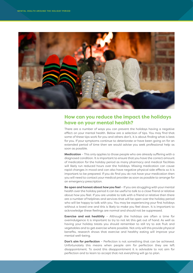

# **How can you reduce the impact the holidays have on your mental health?**

There are a number of ways you can prevent the holidays having a negative effect on your mental health. Below are a selection of tips. You may find that some of these tips work for you and others don't, it is about finding what is best for you. If your symptoms continue to deteriorate or have been going on for an extended period of time then we would advise you seek professional help as soon as possible.

**Medication** – This only applies to those people who are already suffering with a diagnosed condition. It is important to ensure that you have the correct amount of medication for the holiday period as many pharmacy and medical facilities will likely run reduced hours over the holidays. Missing medication can cause rapid changes in mood and can also have negative physical side effects so it is important to be prepared. If you do find you do not have your medication then you will need to contact your medical provider as soon as possible to arrange for an emergency prescription.

**Be open and honest about how you feel** – If you are struggling with your mental health over the holiday period it can be useful to talk to a close friend or relative about how you feel. If you are unable to talk with a friend or relative then there are a number of helplines and services that will be open over the holiday period who will be happy to talk with you. You may be experiencing your first holidays without a loved one and this is likely to make you feel down. It is important to acknowledge these feelings are normal and should not be suppressed.

**Exercise and eat healthily** - Although the holidays are often a time for overindulgence it is important to try to not let this get out of hand. As well as having your holiday treats you should remember to still try to eat fruit and vegetables and to get exercise where possible. Not only will this provide physical benefits, research shows that exercise and healthy eating will improve your mental well-being.

**Don't aim for perfection** – Perfection is not something that can be achieved. Unfortunately this means when people aim for perfection they are left disappointment. To avoid this disappointment it is advisable to not aim for perfection and to learn to accept that not everything will go to plan.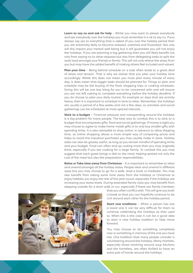**Learn to say no and ask for help** - Whilst you may want to please everybody and see everybody over the holidays you must remember it is ok to say no. If you always say yes to everything that is asked of you over the holiday period then you are extremely likely to become stressed, overtired and frustrated. Not only will this impact your mental well-being but it will guarantee you will not enjoy the holidays. If you are planning a big gathering then you will likely benefit not only from saying no to other requests but also from delegating tasks to split the work load amongst your friends or family. This will not only relieve the stress from you but may have the added benefit of making others feel included and valued.

**Plan your time** – Being behind schedule on a task often leads to a great deal of stress and tension. That is why we advise that you plan your holiday time accordingly. Whilst this does not mean you must plan every minute of every day, it does mean that bigger tasks should be planned for. Things to plan and schedule may be the buying of the food, shopping trips or cooking schedules. Doing this will be one less thing for you to be concerned with and will ensure you are not left rushing to complete everything before the holiday deadline. If you do choose to plan your daily routine, for example on days that are activity heavy, then it is important to schedule in time to relax. Remember, the holidays are usually a period of a few weeks and not a few days, so activities and social gatherings can be scheduled at more spaced intervals.

**Stick to a budget** – Financial pressure and overspending around the holidays is a big problem for many people. The best way to combat this is to stick to a budget that encompasses gifts, food and social gatherings. If money is tight you may choose to agree to make home-made gifts or to only buy smaller gifts with spending limits. It is also advisable to shop online, in advance to allow shipping time, as online shopping allows a more simple way of comparing prices and helps to avoid the impulsive purchases you may usually make in store. Holiday sales can also be greatly useful, as long as you remain mindful of spending limits and your budget. Food can often end up costing more than you may originally think, especially if you are cooking for a large family. To combat this you may suggest that each guest brings a dish to the meal, helping spread not only the cost of the meal but also the preparation responsibilities.

**Relax or Take time away from Christmas** - It is important to remember to relax and unwind amongst all the holiday stress. People relax and unwind in different ways but you may choose to go for a walk, read a book or meditate. You may also benefit from taking some time away from the holidays or Christmas to enjoy hobbies you enjoy the rest of the year round, especially if the holidays are increasing your stress levels. During extended family visits you may benefit from stepping outside for a short walk or run, especially if there are family members



that you often conflict with. This will give you both a break so that you can hopefully continue to be civil around each other for the holiday period.

**Start new traditions** - When a person has lost a loved one it can be very difficult for them to continue celebrating the holidays as they used to. When this is the case it can be a good idea to start a new holiday tradition to help move forward.

You may choose to do something completely new or something in memory of the one you have lost. One tradition that many people consider is volunteering around the holidays. Many charities, especially those revolving around soup kitchens and the homeless, are often thrilled to have an extra pair of hands around the holidays.